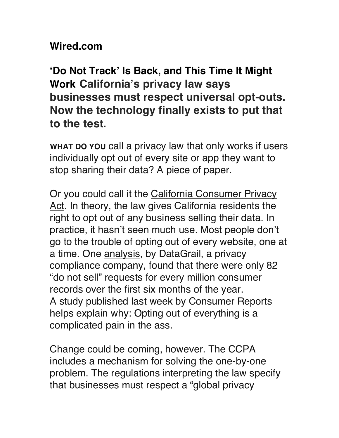## **Wired.com**

**'Do Not Track' Is Back, and This Time It Might Work California's privacy law says businesses must respect universal opt-outs. Now the technology finally exists to put that to the test.**

**WHAT DO YOU** call a privacy law that only works if users individually opt out of every site or app they want to stop sharing their data? A piece of paper.

Or you could call it the California Consumer Privacy Act. In theory, the law gives California residents the right to opt out of any business selling their data. In practice, it hasn't seen much use. Most people don't go to the trouble of opting out of every website, one at a time. One analysis, by DataGrail, a privacy compliance company, found that there were only 82 "do not sell" requests for every million consumer records over the first six months of the year. A study published last week by Consumer Reports helps explain why: Opting out of everything is a complicated pain in the ass.

Change could be coming, however. The CCPA includes a mechanism for solving the one-by-one problem. The regulations interpreting the law specify that businesses must respect a "global privacy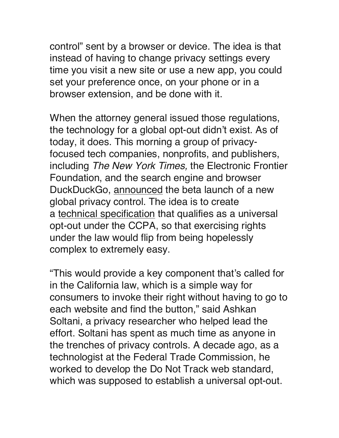control" sent by a browser or device. The idea is that instead of having to change privacy settings every time you visit a new site or use a new app, you could set your preference once, on your phone or in a browser extension, and be done with it.

When the attorney general issued those regulations, the technology for a global opt-out didn't exist. As of today, it does. This morning a group of privacyfocused tech companies, nonprofits, and publishers, including *The New York Times,* the Electronic Frontier Foundation, and the search engine and browser DuckDuckGo, announced the beta launch of a new global privacy control. The idea is to create a technical specification that qualifies as a universal opt-out under the CCPA, so that exercising rights under the law would flip from being hopelessly complex to extremely easy.

"This would provide a key component that's called for in the California law, which is a simple way for consumers to invoke their right without having to go to each website and find the button," said Ashkan Soltani, a privacy researcher who helped lead the effort. Soltani has spent as much time as anyone in the trenches of privacy controls. A decade ago, as a technologist at the Federal Trade Commission, he worked to develop the Do Not Track web standard, which was supposed to establish a universal opt-out.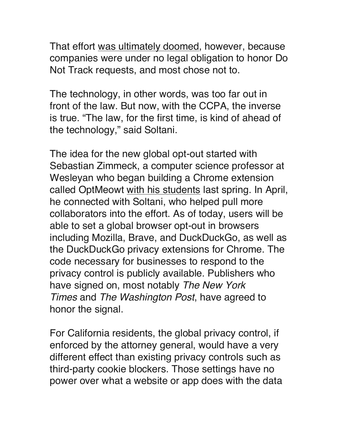That effort was ultimately doomed, however, because companies were under no legal obligation to honor Do Not Track requests, and most chose not to.

The technology, in other words, was too far out in front of the law. But now, with the CCPA, the inverse is true. "The law, for the first time, is kind of ahead of the technology," said Soltani.

The idea for the new global opt-out started with Sebastian Zimmeck, a computer science professor at Wesleyan who began building a Chrome extension called OptMeowt with his students last spring. In April, he connected with Soltani, who helped pull more collaborators into the effort. As of today, users will be able to set a global browser opt-out in browsers including Mozilla, Brave, and DuckDuckGo, as well as the DuckDuckGo privacy extensions for Chrome. The code necessary for businesses to respond to the privacy control is publicly available. Publishers who have signed on, most notably *The New York Times* and *The Washington Post*, have agreed to honor the signal.

For California residents, the global privacy control, if enforced by the attorney general, would have a very different effect than existing privacy controls such as third-party cookie blockers. Those settings have no power over what a website or app does with the data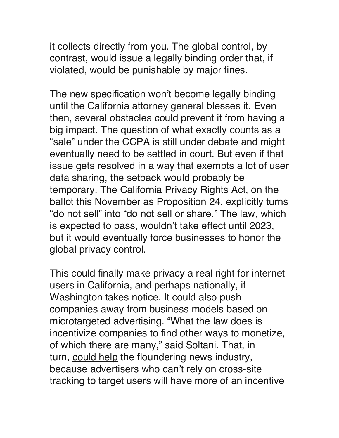it collects directly from you. The global control, by contrast, would issue a legally binding order that, if violated, would be punishable by major fines.

The new specification won't become legally binding until the California attorney general blesses it. Even then, several obstacles could prevent it from having a big impact. The question of what exactly counts as a "sale" under the CCPA is still under debate and might eventually need to be settled in court. But even if that issue gets resolved in a way that exempts a lot of user data sharing, the setback would probably be temporary. The California Privacy Rights Act, on the ballot this November as Proposition 24, explicitly turns "do not sell" into "do not sell or share." The law, which is expected to pass, wouldn't take effect until 2023, but it would eventually force businesses to honor the global privacy control.

This could finally make privacy a real right for internet users in California, and perhaps nationally, if Washington takes notice. It could also push companies away from business models based on microtargeted advertising. "What the law does is incentivize companies to find other ways to monetize, of which there are many," said Soltani. That, in turn, could help the floundering news industry, because advertisers who can't rely on cross-site tracking to target users will have more of an incentive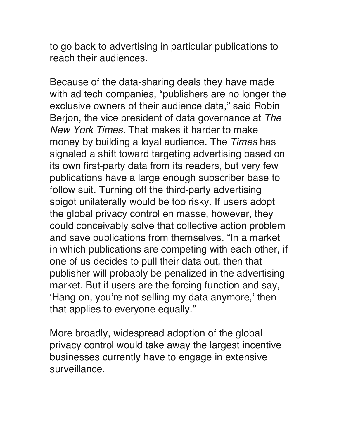to go back to advertising in particular publications to reach their audiences.

Because of the data-sharing deals they have made with ad tech companies, "publishers are no longer the exclusive owners of their audience data," said Robin Berjon, the vice president of data governance at *The New York Times.* That makes it harder to make money by building a loyal audience. The *Times* has signaled a shift toward targeting advertising based on its own first-party data from its readers, but very few publications have a large enough subscriber base to follow suit. Turning off the third-party advertising spigot unilaterally would be too risky. If users adopt the global privacy control en masse, however, they could conceivably solve that collective action problem and save publications from themselves. "In a market in which publications are competing with each other, if one of us decides to pull their data out, then that publisher will probably be penalized in the advertising market. But if users are the forcing function and say, 'Hang on, you're not selling my data anymore,' then that applies to everyone equally."

More broadly, widespread adoption of the global privacy control would take away the largest incentive businesses currently have to engage in extensive surveillance.